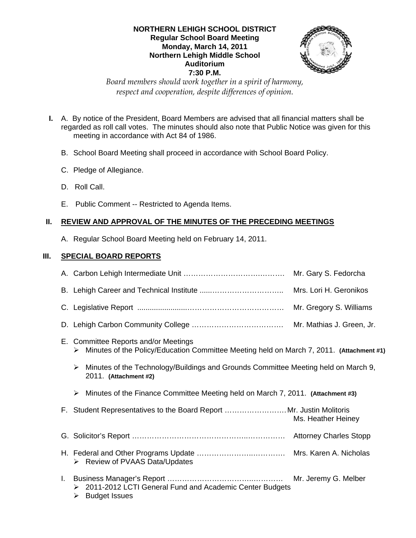### **NORTHERN LEHIGH SCHOOL DISTRICT Regular School Board Meeting Monday, March 14, 2011 Northern Lehigh Middle School Auditorium 7:30 P.M.**



*Board members should work together in a spirit of harmony, respect and cooperation, despite differences of opinion.* 

- **I.** A. By notice of the President, Board Members are advised that all financial matters shall be regarded as roll call votes. The minutes should also note that Public Notice was given for this meeting in accordance with Act 84 of 1986.
	- B. School Board Meeting shall proceed in accordance with School Board Policy.
	- C. Pledge of Allegiance.
	- D. Roll Call.
	- E. Public Comment -- Restricted to Agenda Items.

# **II. REVIEW AND APPROVAL OF THE MINUTES OF THE PRECEDING MEETINGS**

A. Regular School Board Meeting held on February 14, 2011.

# **III. SPECIAL BOARD REPORTS**

| Mrs. Lori H. Geronikos                                                                                                                |
|---------------------------------------------------------------------------------------------------------------------------------------|
| Mr. Gregory S. Williams                                                                                                               |
|                                                                                                                                       |
| E. Committee Reports and/or Meetings<br>Minutes of the Policy/Education Committee Meeting held on March 7, 2011. (Attachment #1)<br>➤ |
| Minutes of the Technology/Buildings and Grounds Committee Meeting held on March 9,<br>➤<br>2011. (Attachment #2)                      |
| Minutes of the Finance Committee Meeting held on March 7, 2011. (Attachment #3)<br>➤                                                  |
| F. Student Representatives to the Board Report Mr. Justin Molitoris<br>Ms. Heather Heiney                                             |
|                                                                                                                                       |
| $\triangleright$ Review of PVAAS Data/Updates                                                                                         |
| 2011-2012 LCTI General Fund and Academic Center Budgets<br>➤<br><b>Budget Issues</b><br>➤                                             |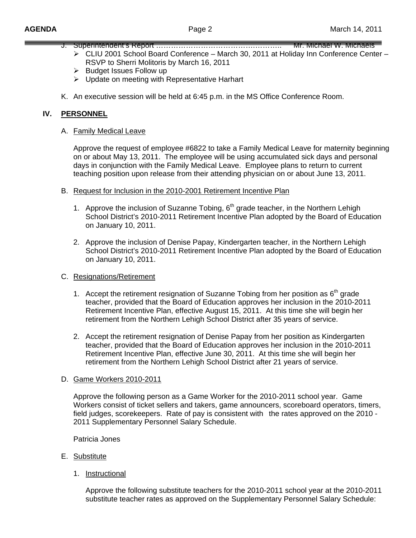- J. Superintendent's Report ……………………………………………………… Mr. Michael W. Michaels
	- ¾ CLIU 2001 School Board Conference March 30, 2011 at Holiday Inn Conference Center RSVP to Sherri Molitoris by March 16, 2011
	- $\triangleright$  Budget Issues Follow up
	- ¾ Update on meeting with Representative Harhart
- K. An executive session will be held at 6:45 p.m. in the MS Office Conference Room.

### **IV. PERSONNEL**

#### A. Family Medical Leave

Approve the request of employee #6822 to take a Family Medical Leave for maternity beginning on or about May 13, 2011. The employee will be using accumulated sick days and personal days in conjunction with the Family Medical Leave. Employee plans to return to current teaching position upon release from their attending physician on or about June 13, 2011.

- B. Request for Inclusion in the 2010-2001 Retirement Incentive Plan
	- 1. Approve the inclusion of Suzanne Tobing,  $6<sup>th</sup>$  grade teacher, in the Northern Lehigh School District's 2010-2011 Retirement Incentive Plan adopted by the Board of Education on January 10, 2011.
	- 2. Approve the inclusion of Denise Papay, Kindergarten teacher, in the Northern Lehigh School District's 2010-2011 Retirement Incentive Plan adopted by the Board of Education on January 10, 2011.

#### C. Resignations/Retirement

- 1. Accept the retirement resignation of Suzanne Tobing from her position as  $6<sup>th</sup>$  grade teacher, provided that the Board of Education approves her inclusion in the 2010-2011 Retirement Incentive Plan, effective August 15, 2011. At this time she will begin her retirement from the Northern Lehigh School District after 35 years of service.
- 2. Accept the retirement resignation of Denise Papay from her position as Kindergarten teacher, provided that the Board of Education approves her inclusion in the 2010-2011 Retirement Incentive Plan, effective June 30, 2011. At this time she will begin her retirement from the Northern Lehigh School District after 21 years of service.

#### D. Game Workers 2010-2011

 Approve the following person as a Game Worker for the 2010-2011 school year. Game Workers consist of ticket sellers and takers, game announcers, scoreboard operators, timers, field judges, scorekeepers. Rate of pay is consistent with the rates approved on the 2010 - 2011 Supplementary Personnel Salary Schedule.

Patricia Jones

- E. Substitute
	- 1. Instructional

 Approve the following substitute teachers for the 2010-2011 school year at the 2010-2011 substitute teacher rates as approved on the Supplementary Personnel Salary Schedule: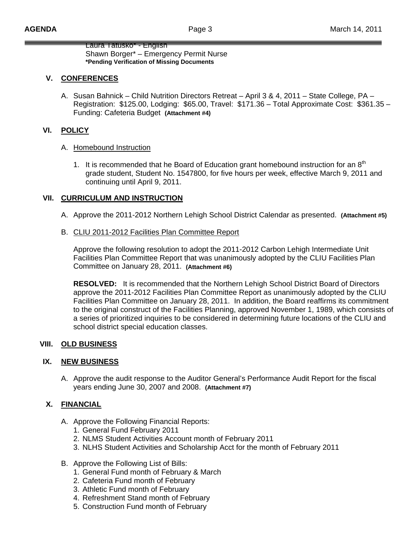Laura Tatusko\* - English Shawn Borger\* – Emergency Permit Nurse **\*Pending Verification of Missing Documents** 

# **V. CONFERENCES**

A. Susan Bahnick – Child Nutrition Directors Retreat – April 3 & 4, 2011 – State College, PA – Registration: \$125.00, Lodging: \$65.00, Travel: \$171.36 – Total Approximate Cost: \$361.35 – Funding: Cafeteria Budget **(Attachment #4)**

# **VI. POLICY**

### A. Homebound Instruction

1. It is recommended that he Board of Education grant homebound instruction for an  $8<sup>th</sup>$ grade student, Student No. 1547800, for five hours per week, effective March 9, 2011 and continuing until April 9, 2011.

# **VII. CURRICULUM AND INSTRUCTION**

- A. Approve the 2011-2012 Northern Lehigh School District Calendar as presented. **(Attachment #5)**
- B. CLIU 2011-2012 Facilities Plan Committee Report

Approve the following resolution to adopt the 2011-2012 Carbon Lehigh Intermediate Unit Facilities Plan Committee Report that was unanimously adopted by the CLIU Facilities Plan Committee on January 28, 2011. **(Attachment #6)**

**RESOLVED:** It is recommended that the Northern Lehigh School District Board of Directors approve the 2011-2012 Facilities Plan Committee Report as unanimously adopted by the CLIU Facilities Plan Committee on January 28, 2011. In addition, the Board reaffirms its commitment to the original construct of the Facilities Planning, approved November 1, 1989, which consists of a series of prioritized inquiries to be considered in determining future locations of the CLIU and school district special education classes.

# **VIII. OLD BUSINESS**

# **IX. NEW BUSINESS**

A. Approve the audit response to the Auditor General's Performance Audit Report for the fiscal years ending June 30, 2007 and 2008. **(Attachment #7)**

# **X. FINANCIAL**

- A. Approve the Following Financial Reports:
	- 1. General Fund February 2011
	- 2. NLMS Student Activities Account month of February 2011
	- 3. NLHS Student Activities and Scholarship Acct for the month of February 2011
- B. Approve the Following List of Bills:
	- 1. General Fund month of February & March
	- 2. Cafeteria Fund month of February
	- 3. Athletic Fund month of February
	- 4. Refreshment Stand month of February
	- 5. Construction Fund month of February